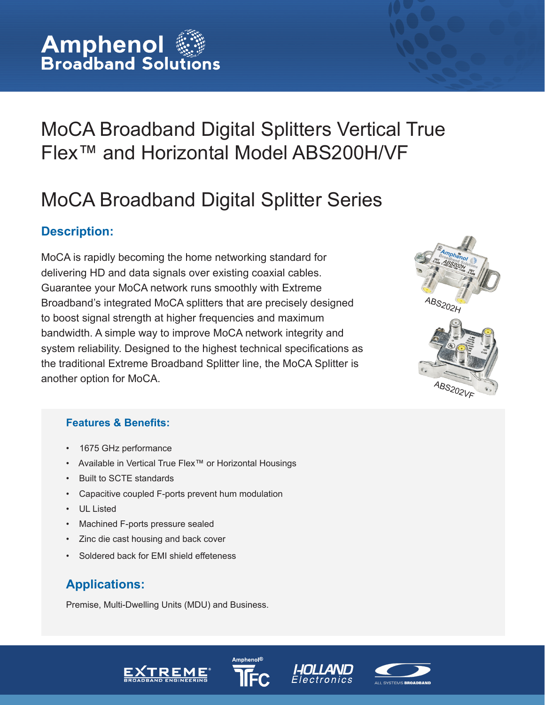## MoCA Broadband Digital Splitters Vertical True Flex™ and Horizontal Model ABS200H/VF

# MoCA Broadband Digital Splitter Series

## **Description:**

MoCA is rapidly becoming the home networking standard for delivering HD and data signals over existing coaxial cables. Guarantee your MoCA network runs smoothly with Extreme Broadband's integrated MoCA splitters that are precisely designed to boost signal strength at higher frequencies and maximum bandwidth. A simple way to improve MoCA network integrity and system reliability. Designed to the highest technical specifications as the traditional Extreme Broadband Splitter line, the MoCA Splitter is another option for MoCA.  $\frac{AB_{S202}}{F}$ 



#### **Features & Benefits:**

- 1675 GHz performance
- Available in Vertical True Flex™ or Horizontal Housings
- Built to SCTE standards
- Capacitive coupled F-ports prevent hum modulation
- UL Listed
- Machined F-ports pressure sealed
- Zinc die cast housing and back cover
- Soldered back for EMI shield effeteness

## **Applications:**

Premise, Multi-Dwelling Units (MDU) and Business.